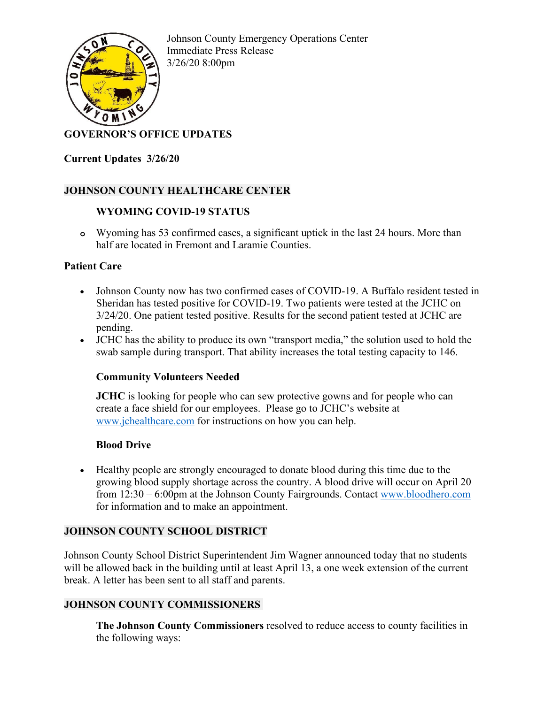

Johnson County Emergency Operations Center Immediate Press Release 3/26/20 8:00pm

# **GOVERNOR'S OFFICE UPDATES**

**Current Updates 3/26/20**

## **JOHNSON COUNTY HEALTHCARE CENTER**

### **WYOMING COVID-19 STATUS**

**o** Wyoming has 53 confirmed cases, a significant uptick in the last 24 hours. More than half are located in Fremont and Laramie Counties.

### **Patient Care**

- Johnson County now has two confirmed cases of COVID-19. A Buffalo resident tested in Sheridan has tested positive for COVID-19. Two patients were tested at the JCHC on 3/24/20. One patient tested positive. Results for the second patient tested at JCHC are pending.
- JCHC has the ability to produce its own "transport media," the solution used to hold the swab sample during transport. That ability increases the total testing capacity to 146.

## **Community Volunteers Needed**

**JCHC** is looking for people who can sew protective gowns and for people who can create a face shield for our employees. Please go to JCHC's website at [www.jchealthcare.com](http://www.jchealthcare.com/) for instructions on how you can help.

#### **Blood Drive**

• Healthy people are strongly encouraged to donate blood during this time due to the growing blood supply shortage across the country. A blood drive will occur on April 20 from 12:30 – 6:00pm at the Johnson County Fairgrounds. Contact [www.bloodhero.com](http://www.bloodhero.com/) for information and to make an appointment.

## **JOHNSON COUNTY SCHOOL DISTRICT**

Johnson County School District Superintendent Jim Wagner announced today that no students will be allowed back in the building until at least April 13, a one week extension of the current break. A letter has been sent to all staff and parents.

## **JOHNSON COUNTY COMMISSIONERS**

**The Johnson County Commissioners** resolved to reduce access to county facilities in the following ways: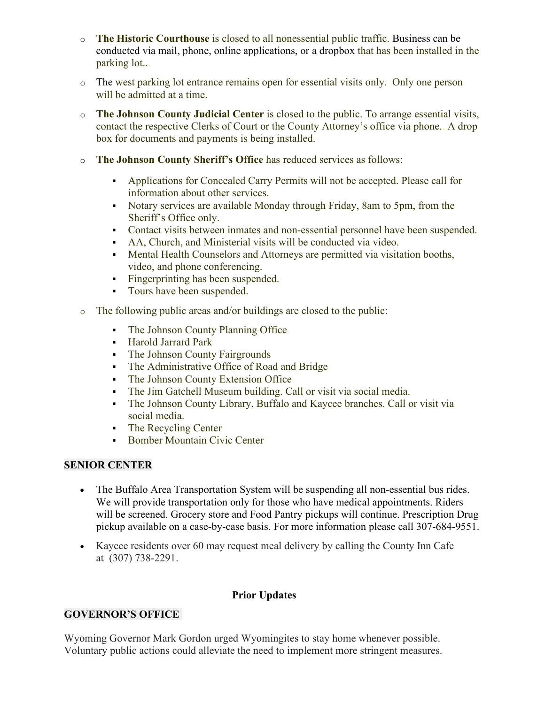- o **The Historic Courthouse** is closed to all nonessential public traffic. Business can be conducted via mail, phone, online applications, or a dropbox that has been installed in the parking lot...
- o The west parking lot entrance remains open for essential visits only. Only one person will be admitted at a time.
- o **The Johnson County Judicial Center** is closed to the public. To arrange essential visits, contact the respective Clerks of Court or the County Attorney's office via phone.. A drop box for documents and payments is being installed.
- o **The Johnson County Sheriff's Office** has reduced services as follows:
	- Applications for Concealed Carry Permits will not be accepted. Please call for information about other services.
	- Notary services are available Monday through Friday, 8am to 5pm, from the Sheriff's Office only.
	- Contact visits between inmates and non-essential personnel have been suspended.
	- AA, Church, and Ministerial visits will be conducted via video.
	- Mental Health Counselors and Attorneys are permitted via visitation booths, video, and phone conferencing.
	- Fingerprinting has been suspended.
	- **Tours have been suspended.**
- o The following public areas and/or buildings are closed to the public:
	- The Johnson County Planning Office
	- Harold Jarrard Park
	- The Johnson County Fairgrounds
	- The Administrative Office of Road and Bridge
	- The Johnson County Extension Office
	- The Jim Gatchell Museum building. Call or visit via social media.
	- The Johnson County Library, Buffalo and Kaycee branches. Call or visit via social media.
	- The Recycling Center
	- **Bomber Mountain Civic Center**

## **SENIOR CENTER**

- The Buffalo Area Transportation System will be suspending all non-essential bus rides. We will provide transportation only for those who have medical appointments. Riders will be screened. Grocery store and Food Pantry pickups will continue. Prescription Drug pickup available on a case-by-case basis. For more information please call 307-684-9551.
- Kaycee residents over 60 may request meal delivery by calling the County Inn Cafe at (307) 738-2291.

#### **Prior Updates**

## **GOVERNOR'S OFFICE**

Wyoming Governor Mark Gordon urged Wyomingites to stay home whenever possible. Voluntary public actions could alleviate the need to implement more stringent measures.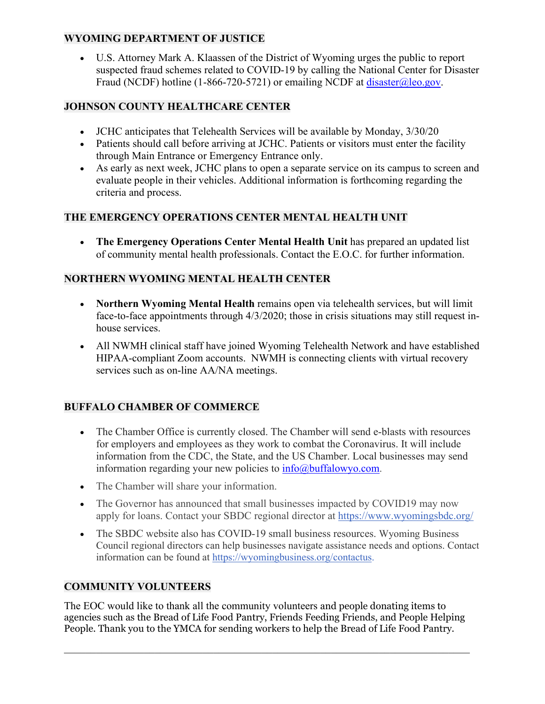# **WYOMING DEPARTMENT OF JUSTICE**

• U.S. Attorney Mark A. Klaassen of the District of Wyoming urges the public to report suspected fraud schemes related to COVID-19 by calling the National Center for Disaster Fraud (NCDF) hotline (1-866-720-5721) or emailing NCDF at [disaster@leo.gov.](mailto:disaster@leo.gov)

# **JOHNSON COUNTY HEALTHCARE CENTER**

- JCHC anticipates that Telehealth Services will be available by Monday,  $3/30/20$
- Patients should call before arriving at JCHC. Patients or visitors must enter the facility through Main Entrance or Emergency Entrance only.
- As early as next week, JCHC plans to open a separate service on its campus to screen and evaluate people in their vehicles. Additional information is forthcoming regarding the criteria and process.

## **THE EMERGENCY OPERATIONS CENTER MENTAL HEALTH UNIT**

• **The Emergency Operations Center Mental Health Unit** has prepared an updated list of community mental health professionals. Contact the E.O.C. for further information.

## **NORTHERN WYOMING MENTAL HEALTH CENTER**

- **Northern Wyoming Mental Health** remains open via telehealth services, but will limit face-to-face appointments through 4/3/2020; those in crisis situations may still request inhouse services.
- All NWMH clinical staff have joined Wyoming Telehealth Network and have established HIPAA-compliant Zoom accounts. NWMH is connecting clients with virtual recovery services such as on-line AA/NA meetings.

# **BUFFALO CHAMBER OF COMMERCE**

- The Chamber Office is currently closed. The Chamber will send e-blasts with resources for employers and employees as they work to combat the Coronavirus. It will include information from the CDC, the State, and the US Chamber. Local businesses may send information regarding your new policies to  $info@$ buffalowyo.com.
- The Chamber will share your information.
- The Governor has announced that small businesses impacted by COVID19 may now apply for loans. Contact your SBDC regional director at [https://www.wyomingsbdc.org/](http://r20.rs6.net/tn.jsp?f=001sg8VlNRuZ6fFTPk-4MUC-1sXiWRV1M2TpehMUHOtI51CFjPRQg-uc_PlGLrza7npIHbdb0BujdNh9Dkyh2rsJ3cTUIVeAsKZ3lJLsxOCCZuGFze4NiZK6tveNB3UbG2BEX4HNKA2or-ya9sWddiYLRXVltN4pRHEGefxFXJTLneodXs6R4QEBfnbV4OJOcmlJkEgex8p1k_ighfQgzBptAEyFWu2agYeT8HcAFkgaJrH8lHF-4cfhbrtq6z5vpaYQbOfQ3yINVEORMQQw7za551Rn1aohMzyYMa3M7qn-KRhGbThJ2phd_tzcD5UkiiwmgNMRM5tHdpxUwMl3WaISldKjTVA8vvH7IomVYBS2JCq7upcyGv-VLTQ1oJbcwj_HYprQewkIw5ygV-PRhMIsiNcJxG2J4TmLd9kkEykkJwt6iYoMGchjO6alPvaa_C81_CC4ObrcSY=&c=9f0I-dS32-SaqRWckhrA3wLVx0htjtMrxERLxPkM-RrTI1oVWwzb5g==&ch=eBzk-eeE6AGLJJbb9nfqR-pjvq1WgGdFdsIBd__4mOS7rrlSnIIYfw==)
- The SBDC website also has COVID-19 small business resources. Wyoming Business Council regional directors can help businesses navigate assistance needs and options. Contact information can be found at [https://wyomingbusiness.org/contactus.](http://r20.rs6.net/tn.jsp?f=001sg8VlNRuZ6fFTPk-4MUC-1sXiWRV1M2TpehMUHOtI51CFjPRQg-uc_PlGLrza7npUXj9QgenE8FHk-XWvdlt0v-1y8RN4rn97tj5lIY_k1DYVMa5gQnnYntQ9dN17wbb5kVJ7LisaVyPn2QFDL5bJzTdk21SFvjjHU0PpnlfiKEl_sYl48W8uJTEJu_3m-RzzFgvq8X381y2ODrVh0b56HGgGCbBS4qkfUG3G0VAbxP-Ax3s-891uAD4WfOQ2hJi-pSUUi-1uI0Zbakf_h8BjQIIAtHXFUpy5JO_XqCDspL_7M5O5L9XhqDgmX6J9xfJWDpbBY-WIU6aeVzJlNeX1526EmqvI9pKOuZEyJVBykK_zSqiMrNliBkYqeaxP7RkZd-SGTmF8nMF71678pezp4aiuf5LxMPKFzHsRe_aALQO5T-XcyZLxUR-L040GFynDaOLk5lFx-9w34eApsnyHw==&c=9f0I-dS32-SaqRWckhrA3wLVx0htjtMrxERLxPkM-RrTI1oVWwzb5g==&ch=eBzk-eeE6AGLJJbb9nfqR-pjvq1WgGdFdsIBd__4mOS7rrlSnIIYfw==)

# **COMMUNITY VOLUNTEERS**

The EOC would like to thank all the community volunteers and people donating items to agencies such as the Bread of Life Food Pantry, Friends Feeding Friends, and People Helping People. Thank you to the YMCA for sending workers to help the Bread of Life Food Pantry.